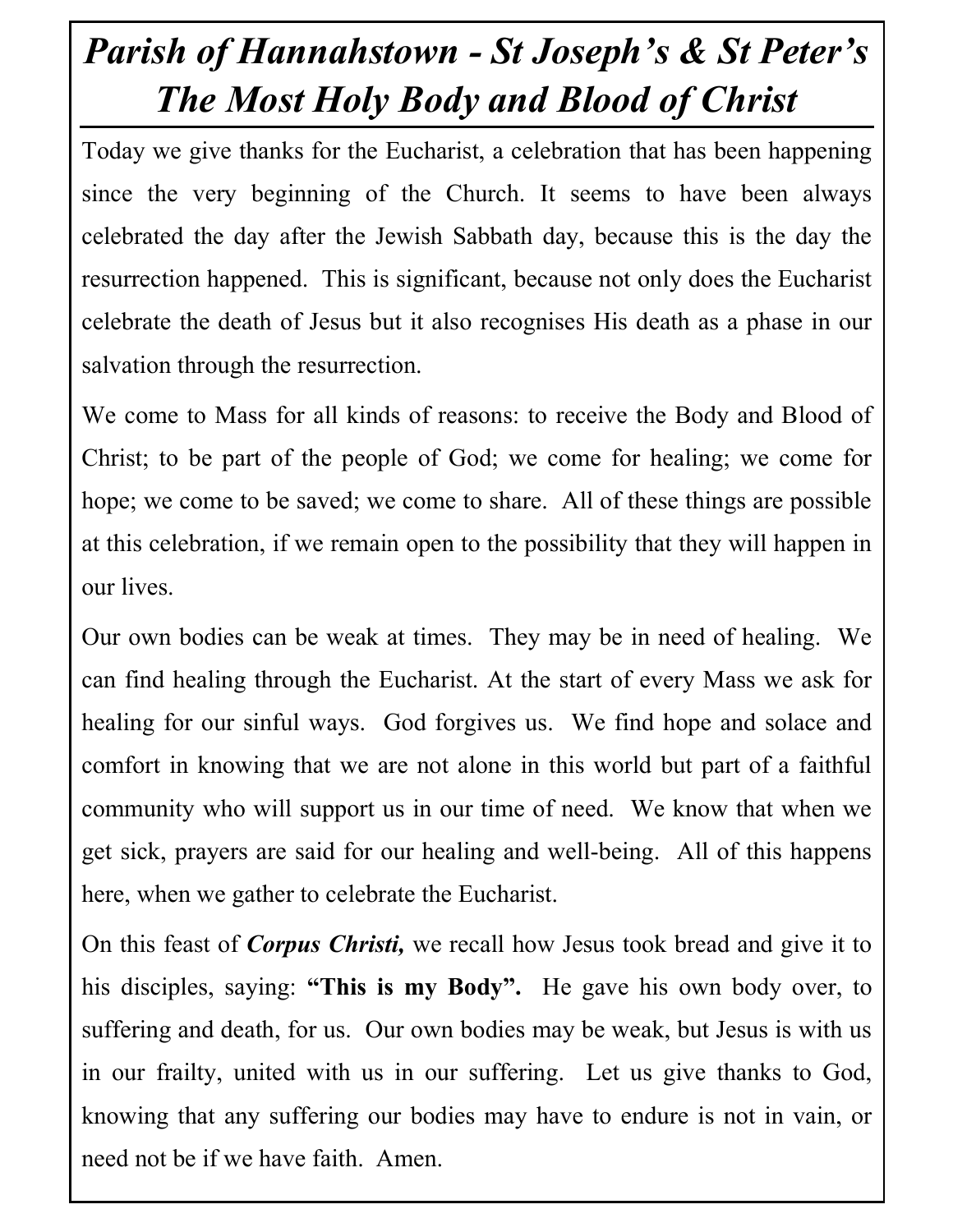## Parish of Hannahstown - St Joseph's & St Peter's The Most Holy Body and Blood of Christ

Today we give thanks for the Eucharist, a celebration that has been happening since the very beginning of the Church. It seems to have been always celebrated the day after the Jewish Sabbath day, because this is the day the resurrection happened. This is significant, because not only does the Eucharist celebrate the death of Jesus but it also recognises His death as a phase in our salvation through the resurrection.

We come to Mass for all kinds of reasons: to receive the Body and Blood of Christ; to be part of the people of God; we come for healing; we come for hope; we come to be saved; we come to share. All of these things are possible at this celebration, if we remain open to the possibility that they will happen in our lives.

Our own bodies can be weak at times. They may be in need of healing. We can find healing through the Eucharist. At the start of every Mass we ask for healing for our sinful ways. God forgives us. We find hope and solace and comfort in knowing that we are not alone in this world but part of a faithful community who will support us in our time of need. We know that when we get sick, prayers are said for our healing and well-being. All of this happens here, when we gather to celebrate the Eucharist.

On this feast of *Corpus Christi*, we recall how Jesus took bread and give it to his disciples, saying: "This is my Body". He gave his own body over, to suffering and death, for us. Our own bodies may be weak, but Jesus is with us in our frailty, united with us in our suffering. Let us give thanks to God, knowing that any suffering our bodies may have to endure is not in vain, or need not be if we have faith. Amen.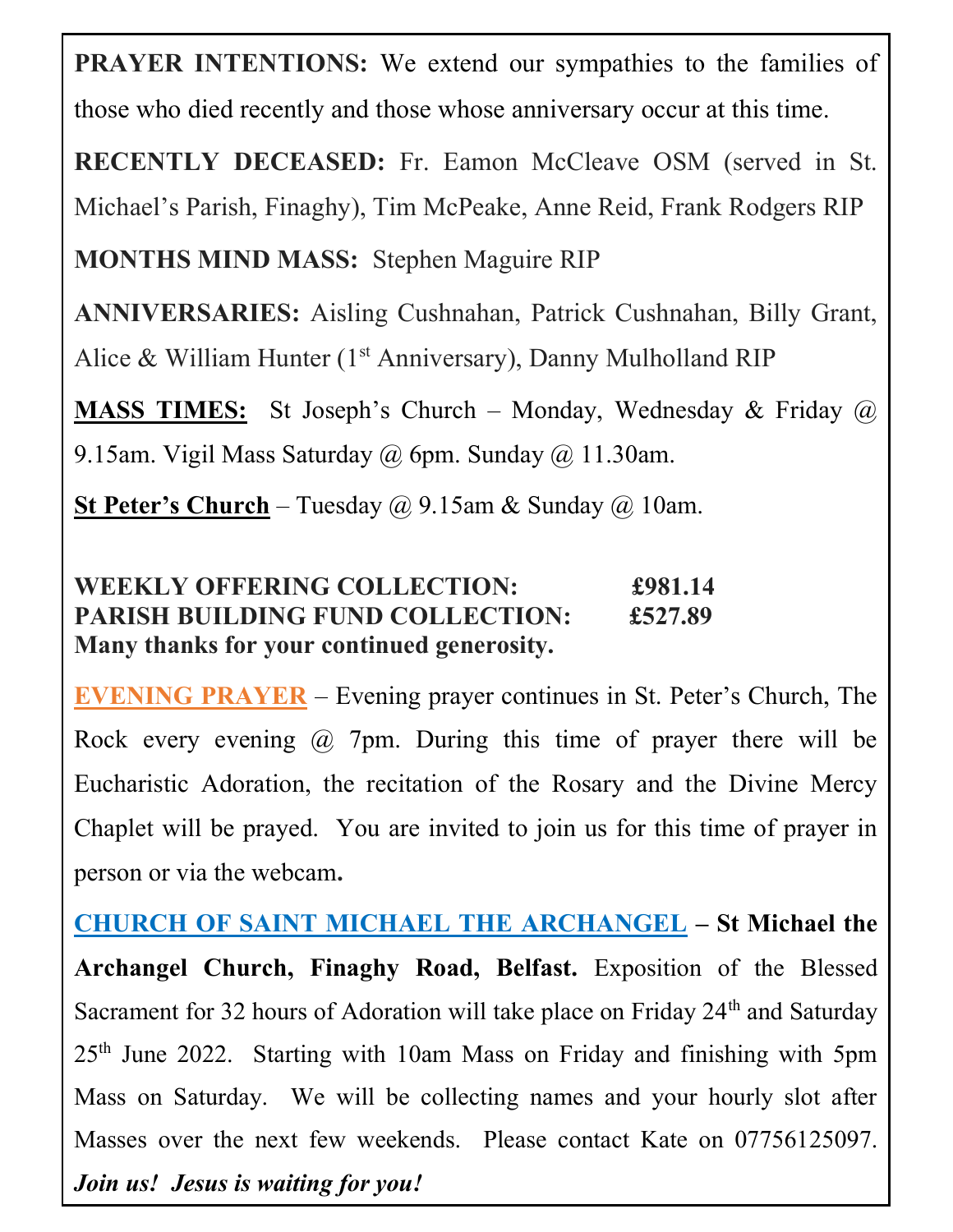PRAYER INTENTIONS: We extend our sympathies to the families of those who died recently and those whose anniversary occur at this time.

RECENTLY DECEASED: Fr. Eamon McCleave OSM (served in St. Michael's Parish, Finaghy), Tim McPeake, Anne Reid, Frank Rodgers RIP

MONTHS MIND MASS: Stephen Maguire RIP

ANNIVERSARIES: Aisling Cushnahan, Patrick Cushnahan, Billy Grant, Alice & William Hunter ( $1<sup>st</sup>$  Anniversary), Danny Mulholland RIP

**MASS TIMES:** St Joseph's Church – Monday, Wednesday & Friday  $\omega$ 9.15am. Vigil Mass Saturday @ 6pm. Sunday @ 11.30am.

**St Peter's Church** – Tuesday  $\omega$  9.15am & Sunday  $\omega$  10am.

| <b>WEEKLY OFFERING COLLECTION:</b>         | £981.14 |
|--------------------------------------------|---------|
| <b>PARISH BUILDING FUND COLLECTION:</b>    | £527.89 |
| Many thanks for your continued generosity. |         |

EVENING PRAYER – Evening prayer continues in St. Peter's Church, The Rock every evening @ 7pm. During this time of prayer there will be Eucharistic Adoration, the recitation of the Rosary and the Divine Mercy Chaplet will be prayed. You are invited to join us for this time of prayer in person or via the webcam.

25<sup>th</sup> June 2022. Starting with 10am Mass on Friday and finishing with 5pm 23 Hannahstown Hill Mass on Saturday. We will be collecting names and your hourly slot after Masses over the next few weekends. Please contact Kate on 07756125097.  $\mathbf{F}$ CHURCH OF SAINT MICHAEL THE ARCHANGEL - St Michael the Email:hannahstown@downandconnor.org Archangel Church, Finaghy Road, Belfast. Exposition of the Blessed Sacrament for 32 hours of Adoration will take place on Friday 24<sup>th</sup> and Saturday Join us! Jesus is waiting for you!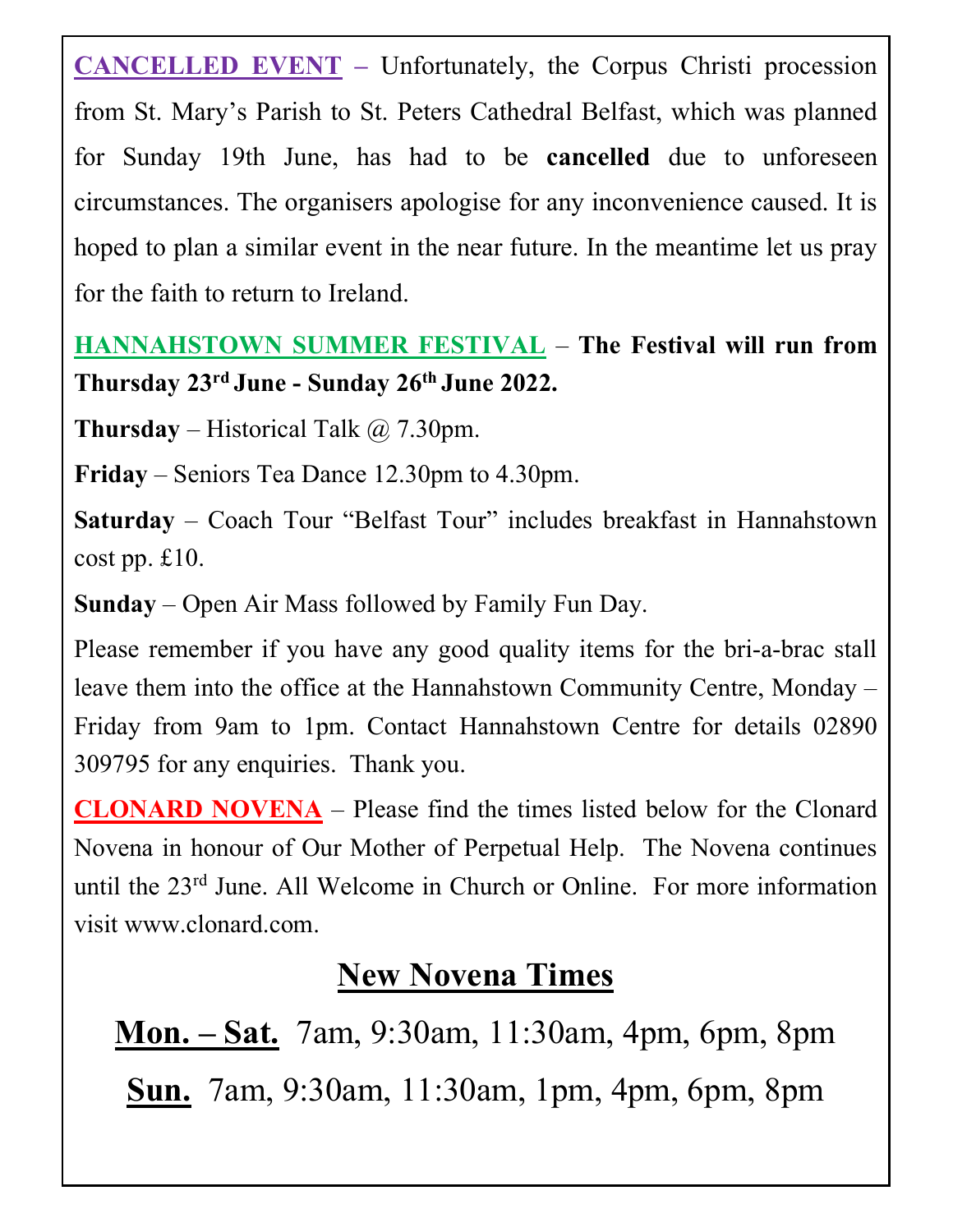CANCELLED EVENT – Unfortunately, the Corpus Christi procession from St. Mary's Parish to St. Peters Cathedral Belfast, which was planned for Sunday 19th June, has had to be cancelled due to unforeseen circumstances. The organisers apologise for any inconvenience caused. It is hoped to plan a similar event in the near future. In the meantime let us pray for the faith to return to Ireland.

## HANNAHSTOWN SUMMER FESTIVAL – The Festival will run from Thursday 23<sup>rd</sup> June - Sunday 26<sup>th</sup> June 2022.

**Thursday** – Historical Talk  $\omega$  7.30pm.

Friday – Seniors Tea Dance 12.30pm to 4.30pm.

Saturday – Coach Tour "Belfast Tour" includes breakfast in Hannahstown cost pp. £10.

Sunday – Open Air Mass followed by Family Fun Day.

Please remember if you have any good quality items for the bri-a-brac stall leave them into the office at the Hannahstown Community Centre, Monday – Friday from 9am to 1pm. Contact Hannahstown Centre for details 02890 309795 for any enquiries. Thank you.

CLONARD NOVENA – Please find the times listed below for the Clonard Novena in honour of Our Mother of Perpetual Help. The Novena continues until the 23rd June. All Welcome in Church or Online. For more information visit www.clonard.com.

## New Novena Times

Mon. – Sat. 7am, 9:30am, 11:30am, 4pm, 6pm, 8pm Sun. 7am, 9:30am, 11:30am, 1pm, 4pm, 6pm, 8pm